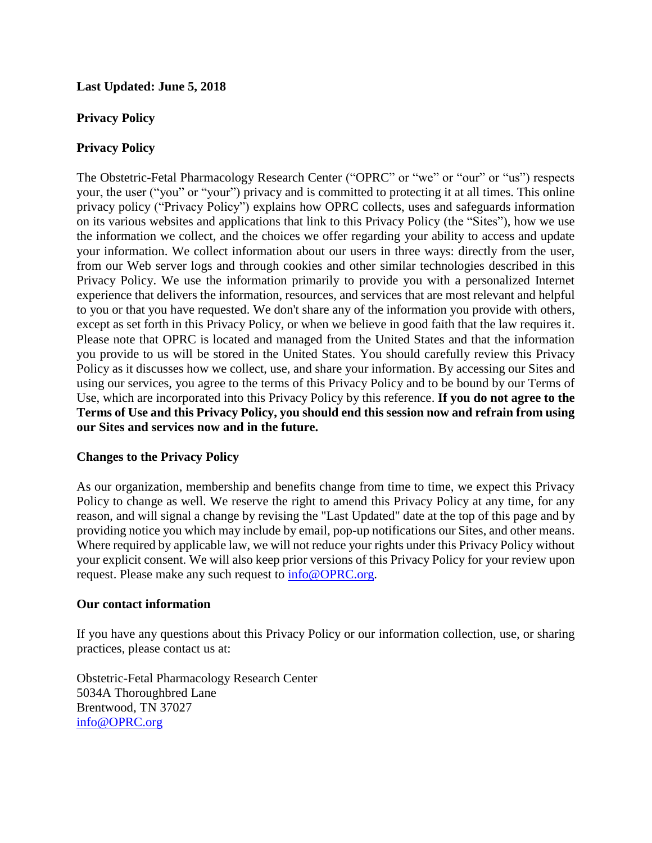**Last Updated: June 5, 2018**

## **Privacy Policy**

## **Privacy Policy**

The Obstetric-Fetal Pharmacology Research Center ("OPRC" or "we" or "our" or "us") respects your, the user ("you" or "your") privacy and is committed to protecting it at all times. This online privacy policy ("Privacy Policy") explains how OPRC collects, uses and safeguards information on its various websites and applications that link to this Privacy Policy (the "Sites"), how we use the information we collect, and the choices we offer regarding your ability to access and update your information. We collect information about our users in three ways: directly from the user, from our Web server logs and through cookies and other similar technologies described in this Privacy Policy. We use the information primarily to provide you with a personalized Internet experience that delivers the information, resources, and services that are most relevant and helpful to you or that you have requested. We don't share any of the information you provide with others, except as set forth in this Privacy Policy, or when we believe in good faith that the law requires it. Please note that OPRC is located and managed from the United States and that the information you provide to us will be stored in the United States. You should carefully review this Privacy Policy as it discusses how we collect, use, and share your information. By accessing our Sites and using our services, you agree to the terms of this Privacy Policy and to be bound by our Terms of Use, which are incorporated into this Privacy Policy by this reference. **If you do not agree to the Terms of Use and this Privacy Policy, you should end this session now and refrain from using our Sites and services now and in the future.**

# **Changes to the Privacy Policy**

As our organization, membership and benefits change from time to time, we expect this Privacy Policy to change as well. We reserve the right to amend this Privacy Policy at any time, for any reason, and will signal a change by revising the "Last Updated" date at the top of this page and by providing notice you which may include by email, pop-up notifications our Sites, and other means. Where required by applicable law, we will not reduce your rights under this Privacy Policy without your explicit consent. We will also keep prior versions of this Privacy Policy for your review upon request. Please make any such request to [info@OPRC.org.](mailto:info@srbr.org)

## **Our contact information**

If you have any questions about this Privacy Policy or our information collection, use, or sharing practices, please contact us at:

Obstetric-Fetal Pharmacology Research Center 5034A Thoroughbred Lane Brentwood, TN 37027 [info@OPRC.org](mailto:info@OPRC.org)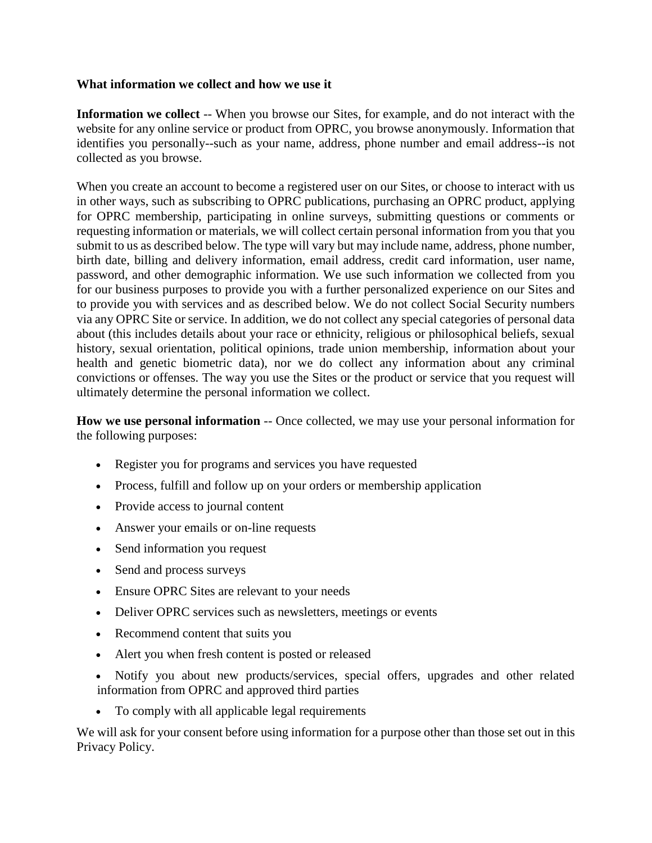## **What information we collect and how we use it**

**Information we collect** -- When you browse our Sites, for example, and do not interact with the website for any online service or product from OPRC, you browse anonymously. Information that identifies you personally--such as your name, address, phone number and email address--is not collected as you browse.

When you create an account to become a registered user on our Sites, or choose to interact with us in other ways, such as subscribing to OPRC publications, purchasing an OPRC product, applying for OPRC membership, participating in online surveys, submitting questions or comments or requesting information or materials, we will collect certain personal information from you that you submit to us as described below. The type will vary but may include name, address, phone number, birth date, billing and delivery information, email address, credit card information, user name, password, and other demographic information. We use such information we collected from you for our business purposes to provide you with a further personalized experience on our Sites and to provide you with services and as described below. We do not collect Social Security numbers via any OPRC Site or service. In addition, we do not collect any special categories of personal data about (this includes details about your race or ethnicity, religious or philosophical beliefs, sexual history, sexual orientation, political opinions, trade union membership, information about your health and genetic biometric data), nor we do collect any information about any criminal convictions or offenses. The way you use the Sites or the product or service that you request will ultimately determine the personal information we collect.

**How we use personal information** -- Once collected, we may use your personal information for the following purposes:

- Register you for programs and services you have requested
- Process, fulfill and follow up on your orders or membership application
- Provide access to journal content
- Answer your emails or on-line requests
- Send information you request
- Send and process surveys
- Ensure OPRC Sites are relevant to your needs
- Deliver OPRC services such as newsletters, meetings or events
- Recommend content that suits you
- Alert you when fresh content is posted or released
- Notify you about new products/services, special offers, upgrades and other related information from OPRC and approved third parties
- To comply with all applicable legal requirements

We will ask for your consent before using information for a purpose other than those set out in this Privacy Policy.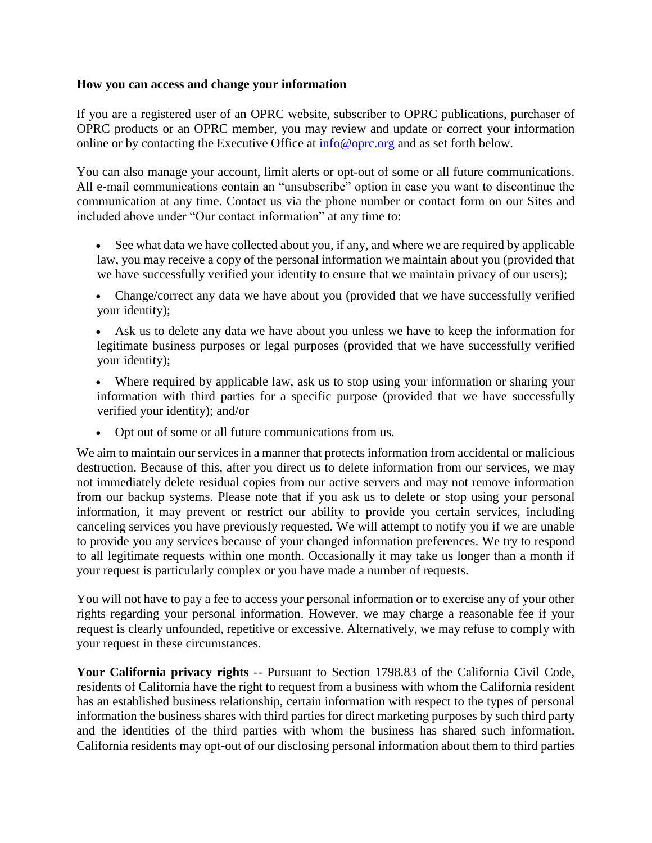## **How you can access and change your information**

If you are a registered user of an OPRC website, subscriber to OPRC publications, purchaser of OPRC products or an OPRC member, you may review and update or correct your information online or by contacting the Executive Office at [info@oprc.org](mailto:info@oprc.org) and as set forth below.

You can also manage your account, limit alerts or opt-out of some or all future communications. All e-mail communications contain an "unsubscribe" option in case you want to discontinue the communication at any time. Contact us via the phone number or contact form on our Sites and included above under "Our contact information" at any time to:

- See what data we have collected about you, if any, and where we are required by applicable law, you may receive a copy of the personal information we maintain about you (provided that we have successfully verified your identity to ensure that we maintain privacy of our users);
- Change/correct any data we have about you (provided that we have successfully verified your identity);
- Ask us to delete any data we have about you unless we have to keep the information for legitimate business purposes or legal purposes (provided that we have successfully verified your identity);
- Where required by applicable law, ask us to stop using your information or sharing your information with third parties for a specific purpose (provided that we have successfully verified your identity); and/or
- Opt out of some or all future communications from us.

We aim to maintain our services in a manner that protects information from accidental or malicious destruction. Because of this, after you direct us to delete information from our services, we may not immediately delete residual copies from our active servers and may not remove information from our backup systems. Please note that if you ask us to delete or stop using your personal information, it may prevent or restrict our ability to provide you certain services, including canceling services you have previously requested. We will attempt to notify you if we are unable to provide you any services because of your changed information preferences. We try to respond to all legitimate requests within one month. Occasionally it may take us longer than a month if your request is particularly complex or you have made a number of requests.

You will not have to pay a fee to access your personal information or to exercise any of your other rights regarding your personal information. However, we may charge a reasonable fee if your request is clearly unfounded, repetitive or excessive. Alternatively, we may refuse to comply with your request in these circumstances.

**Your California privacy rights** -- Pursuant to Section 1798.83 of the California Civil Code, residents of California have the right to request from a business with whom the California resident has an established business relationship, certain information with respect to the types of personal information the business shares with third parties for direct marketing purposes by such third party and the identities of the third parties with whom the business has shared such information. California residents may opt-out of our disclosing personal information about them to third parties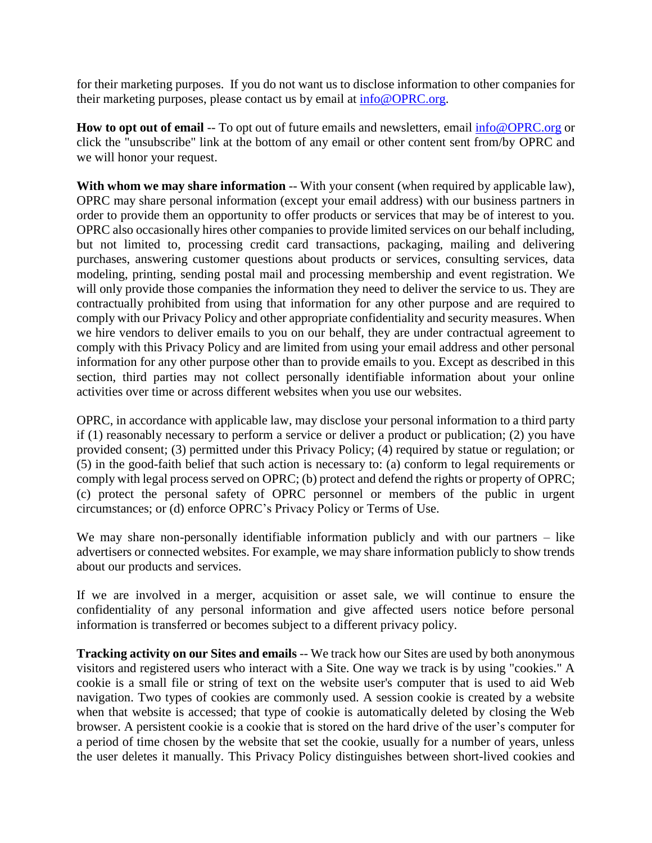for their marketing purposes. If you do not want us to disclose information to other companies for their marketing purposes, please contact us by email at [info@OPRC.org.](mailto:info@apsard.org)

**How to opt out of email** -- To opt out of future emails and newsletters, email [info@OPRC.org](mailto:info@apsard.org) or click the "unsubscribe" link at the bottom of any email or other content sent from/by OPRC and we will honor your request.

**With whom we may share information** -- With your consent (when required by applicable law), OPRC may share personal information (except your email address) with our business partners in order to provide them an opportunity to offer products or services that may be of interest to you. OPRC also occasionally hires other companies to provide limited services on our behalf including, but not limited to, processing credit card transactions, packaging, mailing and delivering purchases, answering customer questions about products or services, consulting services, data modeling, printing, sending postal mail and processing membership and event registration. We will only provide those companies the information they need to deliver the service to us. They are contractually prohibited from using that information for any other purpose and are required to comply with our Privacy Policy and other appropriate confidentiality and security measures. When we hire vendors to deliver emails to you on our behalf, they are under contractual agreement to comply with this Privacy Policy and are limited from using your email address and other personal information for any other purpose other than to provide emails to you. Except as described in this section, third parties may not collect personally identifiable information about your online activities over time or across different websites when you use our websites.

OPRC, in accordance with applicable law, may disclose your personal information to a third party if (1) reasonably necessary to perform a service or deliver a product or publication; (2) you have provided consent; (3) permitted under this Privacy Policy; (4) required by statue or regulation; or (5) in the good-faith belief that such action is necessary to: (a) conform to legal requirements or comply with legal process served on OPRC; (b) protect and defend the rights or property of OPRC; (c) protect the personal safety of OPRC personnel or members of the public in urgent circumstances; or (d) enforce OPRC's Privacy Policy or Terms of Use.

We may share non-personally identifiable information publicly and with our partners – like advertisers or connected websites. For example, we may share information publicly to show trends about our products and services.

If we are involved in a merger, acquisition or asset sale, we will continue to ensure the confidentiality of any personal information and give affected users notice before personal information is transferred or becomes subject to a different privacy policy.

**Tracking activity on our Sites and emails** -- We track how our Sites are used by both anonymous visitors and registered users who interact with a Site. One way we track is by using "cookies." A cookie is a small file or string of text on the website user's computer that is used to aid Web navigation. Two types of cookies are commonly used. A session cookie is created by a website when that website is accessed; that type of cookie is automatically deleted by closing the Web browser. A persistent cookie is a cookie that is stored on the hard drive of the user's computer for a period of time chosen by the website that set the cookie, usually for a number of years, unless the user deletes it manually. This Privacy Policy distinguishes between short-lived cookies and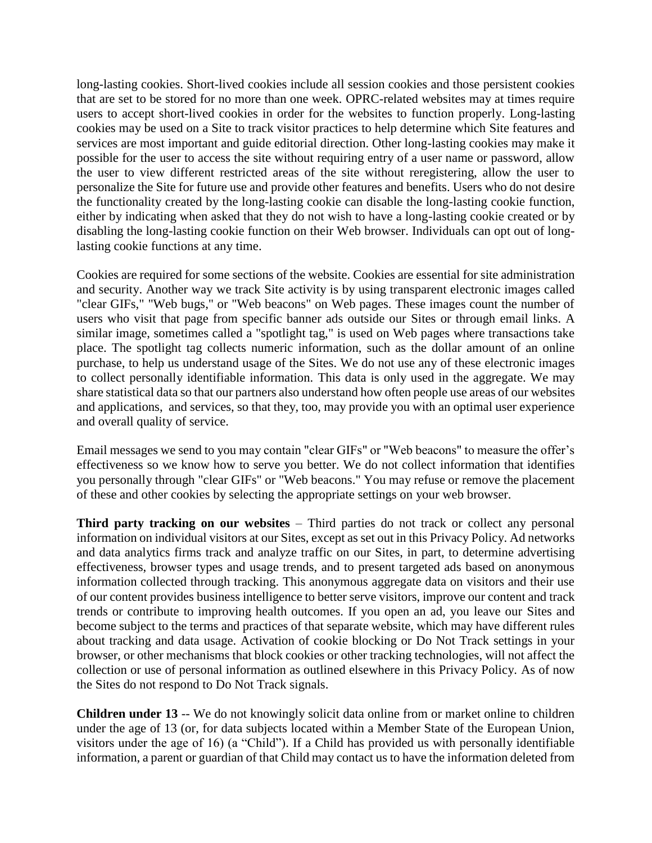long-lasting cookies. Short-lived cookies include all session cookies and those persistent cookies that are set to be stored for no more than one week. OPRC-related websites may at times require users to accept short-lived cookies in order for the websites to function properly. Long-lasting cookies may be used on a Site to track visitor practices to help determine which Site features and services are most important and guide editorial direction. Other long-lasting cookies may make it possible for the user to access the site without requiring entry of a user name or password, allow the user to view different restricted areas of the site without reregistering, allow the user to personalize the Site for future use and provide other features and benefits. Users who do not desire the functionality created by the long-lasting cookie can disable the long-lasting cookie function, either by indicating when asked that they do not wish to have a long-lasting cookie created or by disabling the long-lasting cookie function on their Web browser. Individuals can opt out of longlasting cookie functions at any time.

Cookies are required for some sections of the website. Cookies are essential for site administration and security. Another way we track Site activity is by using transparent electronic images called "clear GIFs," "Web bugs," or "Web beacons" on Web pages. These images count the number of users who visit that page from specific banner ads outside our Sites or through email links. A similar image, sometimes called a "spotlight tag," is used on Web pages where transactions take place. The spotlight tag collects numeric information, such as the dollar amount of an online purchase, to help us understand usage of the Sites. We do not use any of these electronic images to collect personally identifiable information. This data is only used in the aggregate. We may share statistical data so that our partners also understand how often people use areas of our websites and applications, and services, so that they, too, may provide you with an optimal user experience and overall quality of service.

Email messages we send to you may contain "clear GIFs" or "Web beacons" to measure the offer's effectiveness so we know how to serve you better. We do not collect information that identifies you personally through "clear GIFs" or "Web beacons." You may refuse or remove the placement of these and other cookies by selecting the appropriate settings on your web browser.

**Third party tracking on our websites** – Third parties do not track or collect any personal information on individual visitors at our Sites, except as set out in this Privacy Policy. Ad networks and data analytics firms track and analyze traffic on our Sites, in part, to determine advertising effectiveness, browser types and usage trends, and to present targeted ads based on anonymous information collected through tracking. This anonymous aggregate data on visitors and their use of our content provides business intelligence to better serve visitors, improve our content and track trends or contribute to improving health outcomes. If you open an ad, you leave our Sites and become subject to the terms and practices of that separate website, which may have different rules about tracking and data usage. Activation of cookie blocking or Do Not Track settings in your browser, or other mechanisms that block cookies or other tracking technologies, will not affect the collection or use of personal information as outlined elsewhere in this Privacy Policy. As of now the Sites do not respond to Do Not Track signals.

**Children under 13** -- We do not knowingly solicit data online from or market online to children under the age of 13 (or, for data subjects located within a Member State of the European Union, visitors under the age of 16) (a "Child"). If a Child has provided us with personally identifiable information, a parent or guardian of that Child may contact us to have the information deleted from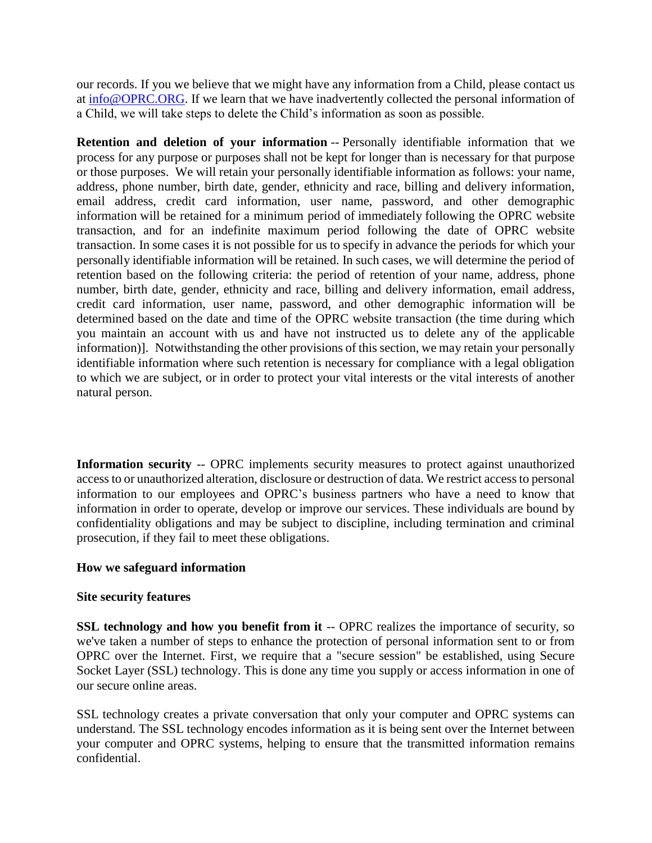our records. If you we believe that we might have any information from a Child, please contact us at [info@OPRC.ORG.](mailto:info@OPRC.ORG) If we learn that we have inadvertently collected the personal information of a Child, we will take steps to delete the Child's information as soon as possible.

**Retention and deletion of your information** -- Personally identifiable information that we process for any purpose or purposes shall not be kept for longer than is necessary for that purpose or those purposes. We will retain your personally identifiable information as follows: your name, address, phone number, birth date, gender, ethnicity and race, billing and delivery information, email address, credit card information, user name, password, and other demographic information will be retained for a minimum period of immediately following the OPRC website transaction, and for an indefinite maximum period following the date of OPRC website transaction. In some cases it is not possible for us to specify in advance the periods for which your personally identifiable information will be retained. In such cases, we will determine the period of retention based on the following criteria: the period of retention of your name, address, phone number, birth date, gender, ethnicity and race, billing and delivery information, email address, credit card information, user name, password, and other demographic information will be determined based on the date and time of the OPRC website transaction (the time during which you maintain an account with us and have not instructed us to delete any of the applicable information)]. Notwithstanding the other provisions of this section, we may retain your personally identifiable information where such retention is necessary for compliance with a legal obligation to which we are subject, or in order to protect your vital interests or the vital interests of another natural person.

**Information security** -- OPRC implements security measures to protect against unauthorized access to or unauthorized alteration, disclosure or destruction of data. We restrict access to personal information to our employees and OPRC's business partners who have a need to know that information in order to operate, develop or improve our services. These individuals are bound by confidentiality obligations and may be subject to discipline, including termination and criminal prosecution, if they fail to meet these obligations.

# **How we safeguard information**

## **Site security features**

**SSL technology and how you benefit from it -- OPRC realizes the importance of security, so** we've taken a number of steps to enhance the protection of personal information sent to or from OPRC over the Internet. First, we require that a "secure session" be established, using Secure Socket Layer (SSL) technology. This is done any time you supply or access information in one of our secure online areas.

SSL technology creates a private conversation that only your computer and OPRC systems can understand. The SSL technology encodes information as it is being sent over the Internet between your computer and OPRC systems, helping to ensure that the transmitted information remains confidential.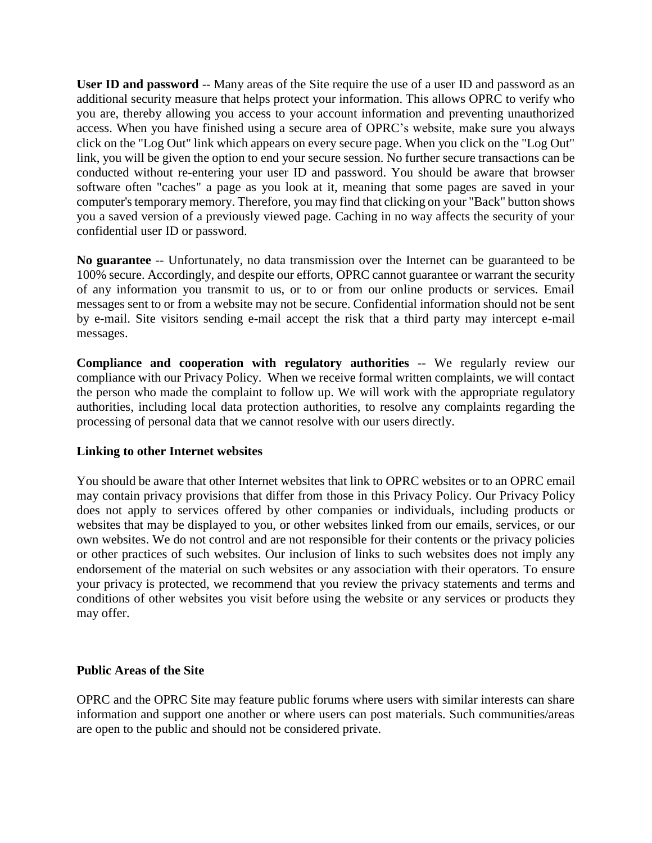**User ID and password** -- Many areas of the Site require the use of a user ID and password as an additional security measure that helps protect your information. This allows OPRC to verify who you are, thereby allowing you access to your account information and preventing unauthorized access. When you have finished using a secure area of OPRC's website, make sure you always click on the "Log Out" link which appears on every secure page. When you click on the "Log Out" link, you will be given the option to end your secure session. No further secure transactions can be conducted without re-entering your user ID and password. You should be aware that browser software often "caches" a page as you look at it, meaning that some pages are saved in your computer's temporary memory. Therefore, you may find that clicking on your "Back" button shows you a saved version of a previously viewed page. Caching in no way affects the security of your confidential user ID or password.

**No guarantee** -- Unfortunately, no data transmission over the Internet can be guaranteed to be 100% secure. Accordingly, and despite our efforts, OPRC cannot guarantee or warrant the security of any information you transmit to us, or to or from our online products or services. Email messages sent to or from a website may not be secure. Confidential information should not be sent by e-mail. Site visitors sending e-mail accept the risk that a third party may intercept e-mail messages.

**Compliance and cooperation with regulatory authorities** -- We regularly review our compliance with our Privacy Policy. When we receive formal written complaints, we will contact the person who made the complaint to follow up. We will work with the appropriate regulatory authorities, including local data protection authorities, to resolve any complaints regarding the processing of personal data that we cannot resolve with our users directly.

## **Linking to other Internet websites**

You should be aware that other Internet websites that link to OPRC websites or to an OPRC email may contain privacy provisions that differ from those in this Privacy Policy. Our Privacy Policy does not apply to services offered by other companies or individuals, including products or websites that may be displayed to you, or other websites linked from our emails, services, or our own websites. We do not control and are not responsible for their contents or the privacy policies or other practices of such websites. Our inclusion of links to such websites does not imply any endorsement of the material on such websites or any association with their operators. To ensure your privacy is protected, we recommend that you review the privacy statements and terms and conditions of other websites you visit before using the website or any services or products they may offer.

## **Public Areas of the Site**

OPRC and the OPRC Site may feature public forums where users with similar interests can share information and support one another or where users can post materials. Such communities/areas are open to the public and should not be considered private.